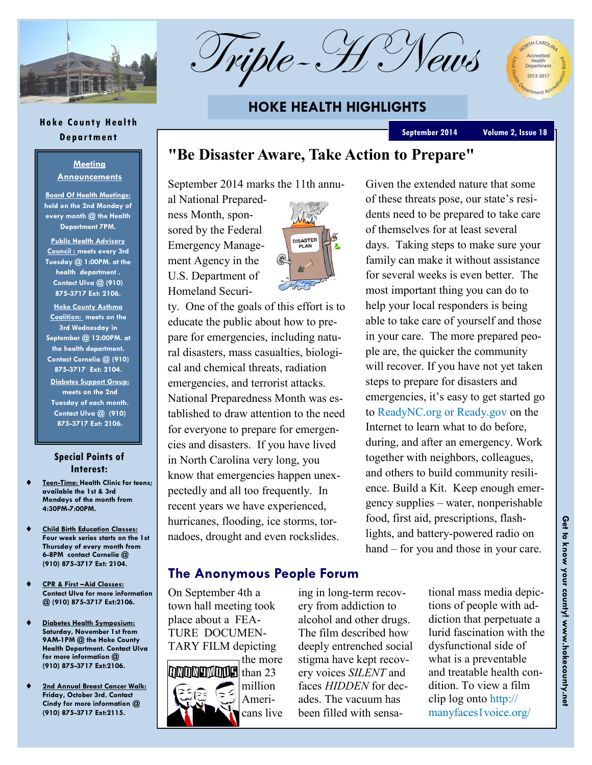

**Hoke County Health Department**

**Meeting Announcements Board Of Health Meetings: held on the 2nd Monday of every month @ the Health Department 7PM. Public Health Advisory Council : meets every 3rd Tuesday @ 1:00PM. at the health department . Contact Ulva @ (910) 875-3717 Ext: 2106. Hoke County Asthma Coalition: meets on the 3rd Wednesday in September @ 12:00PM. at the health department. Contact Cornelia @ (910) 875-3717 Ext: 2104. Diabetes Support Group: meets on the 2nd Tuesday of each month. Contact Ulva @ (910) 875-3717 Ext: 2106.** 

**Special Points of Interest: Teen-Time: Health Clinic for teens;** 

 **Child Birth Education Classes: Four week series starts on the 1st Thursday of every month from 6-8PM contact Cornelia @ (910) 875-3717 Ext: 2104.**

 **CPR & First –Aid Classes: Contact Ulva for more information @ (910) 875-3717 Ext:2106.**

 **Diabetes Health Symposium: Saturday, November 1st from 9AM-1PM @ the Hoke County Health Department. Contact Ulva for more information @ (910) 875-3717 Ext:2106.**

 **2nd Annual Breast Cancer Walk: Friday, October 3rd. Contact Cindy for more information @ (910) 875-3717 Ext:2115.**

**available the 1st & 3rd Mondays of the month from** 

**4:30PM-7:00PM.**

Triple-H

## **HOKE HEALTH HIGHLIGHTS**

#### **September 2014 Volume 2, Issue 18**

A CAROLINA

2013-2017

## **"Be Disaster Aware, Take Action to Prepare"**

September 2014 marks the 11th annual National Prepared-

ness Month, sponsored by the Federal Emergency Management Agency in the U.S. Department of Homeland Securi-



ty. One of the goals of this effort is to educate the public about how to prepare for emergencies, including natural disasters, mass casualties, biological and chemical threats, radiation emergencies, and terrorist attacks. National Preparedness Month was established to draw attention to the need for everyone to prepare for emergencies and disasters. If you have lived in North Carolina very long, you know that emergencies happen unexpectedly and all too frequently. In recent years we have experienced, hurricanes, flooding, ice storms, tornadoes, drought and even rockslides.

Given the extended nature that some of these threats pose, our state's residents need to be prepared to take care of themselves for at least several days. Taking steps to make sure your family can make it without assistance for several weeks is even better. The most important thing you can do to help your local responders is being able to take care of yourself and those in your care. The more prepared people are, the quicker the community will recover. If you have not yet taken steps to prepare for disasters and emergencies, it's easy to get started go to ReadyNC.org or Ready.gov on the Internet to learn what to do before, during, and after an emergency. Work together with neighbors, colleagues, and others to build community resilience. Build a Kit. Keep enough emergency supplies – water, nonperishable food, first aid, prescriptions, flashlights, and battery-powered radio on hand – for you and those in your care.

### **The Anonymous People Forum**

On September 4th a town hall meeting took place about a FEA-TURE DOCUMEN-TARY FILM depicting the more **NDNHMMH** than 23 million Americans live

ing in long-term recovery from addiction to alcohol and other drugs. The film described how deeply entrenched social stigma have kept recovery voices *SILENT* and faces *HIDDEN* for decades. The vacuum has been filled with sensational mass media depictions of people with addiction that perpetuate a lurid fascination with the dysfunctional side of what is a preventable and treatable health condition. To view a film clip log onto http:// manyfaces1voice.org/